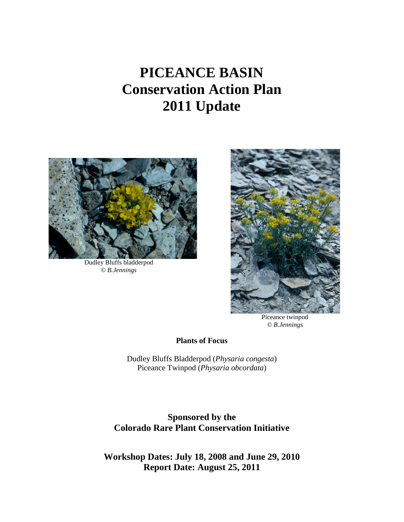# **PICEANCE BASIN Conservation Action Plan 2011 Update**



Dudley Bluffs bladderpod *© B.Jennings*



Piceance twinpod *© B.Jennings*

**Plants of Focus**

Dudley Bluffs Bladderpod (*Physaria congesta*) Piceance Twinpod (*Physaria obcordata*)

**Sponsored by the Colorado Rare Plant Conservation Initiative**

**Workshop Dates: July 18, 2008 and June 29, 2010 Report Date: August 25, 2011**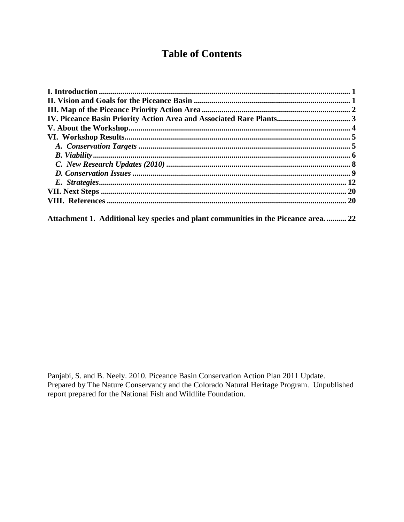## **Table of Contents**

Attachment 1. Additional key species and plant communities in the Piceance area. .......... 22

Panjabi, S. and B. Neely. 2010. Piceance Basin Conservation Action Plan 2011 Update. Prepared by The Nature Conservancy and the Colorado Natural Heritage Program. Unpublished report prepared for the National Fish and Wildlife Foundation.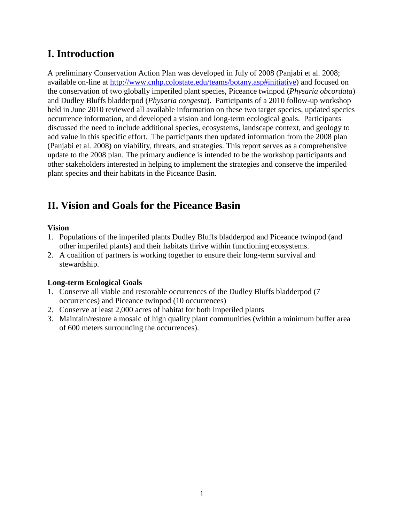## <span id="page-2-0"></span>**I. Introduction**

A preliminary Conservation Action Plan was developed in July of 2008 (Panjabi et al. 2008; available on-line at [http://www.cnhp.colostate.edu/teams/botany.asp#initiative\)](http://www.cnhp.colostate.edu/teams/botany.asp#initiative) and focused on the conservation of two globally imperiled plant species, Piceance twinpod (*Physaria obcordata*) and Dudley Bluffs bladderpod (*Physaria congesta*). Participants of a 2010 follow-up workshop held in June 2010 reviewed all available information on these two target species, updated species occurrence information, and developed a vision and long-term ecological goals. Participants discussed the need to include additional species, ecosystems, landscape context, and geology to add value in this specific effort. The participants then updated information from the 2008 plan (Panjabi et al. 2008) on viability, threats, and strategies. This report serves as a comprehensive update to the 2008 plan. The primary audience is intended to be the workshop participants and other stakeholders interested in helping to implement the strategies and conserve the imperiled plant species and their habitats in the Piceance Basin.

## <span id="page-2-1"></span>**II. Vision and Goals for the Piceance Basin**

#### **Vision**

- 1. Populations of the imperiled plants Dudley Bluffs bladderpod and Piceance twinpod (and other imperiled plants) and their habitats thrive within functioning ecosystems.
- 2. A coalition of partners is working together to ensure their long-term survival and stewardship.

#### **Long-term Ecological Goals**

- 1. Conserve all viable and restorable occurrences of the Dudley Bluffs bladderpod (7 occurrences) and Piceance twinpod (10 occurrences)
- 2. Conserve at least 2,000 acres of habitat for both imperiled plants
- 3. Maintain/restore a mosaic of high quality plant communities (within a minimum buffer area of 600 meters surrounding the occurrences).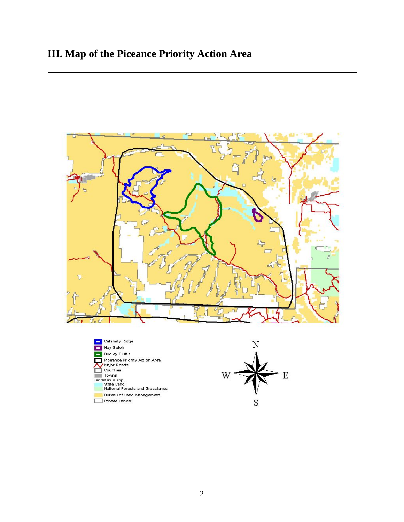## <span id="page-3-0"></span>**III. Map of the Piceance Priority Action Area**

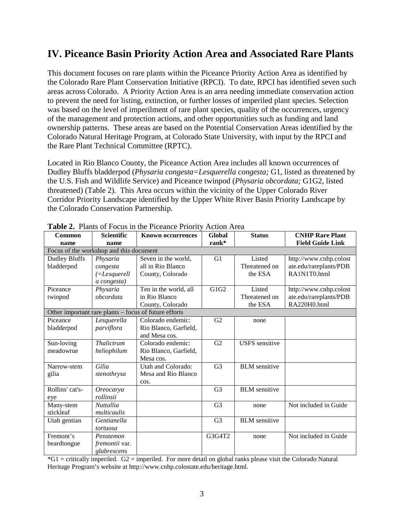## <span id="page-4-0"></span>**IV. Piceance Basin Priority Action Area and Associated Rare Plants**

This document focuses on rare plants within the Piceance Priority Action Area as identified by the Colorado Rare Plant Conservation Initiative (RPCI). To date, RPCI has identified seven such areas across Colorado. A Priority Action Area is an area needing immediate conservation action to prevent the need for listing, extinction, or further losses of imperiled plant species. Selection was based on the level of imperilment of rare plant species, quality of the occurrences, urgency of the management and protection actions, and other opportunities such as funding and land ownership patterns. These areas are based on the Potential Conservation Areas identified by the Colorado Natural Heritage Program, at Colorado State University, with input by the RPCI and the Rare Plant Technical Committee (RPTC).

Located in Rio Blanco County, the Piceance Action Area includes all known occurrences of Dudley Bluffs bladderpod (*Physaria congesta=Lesquerella congesta;* G1, listed as threatened by the U.S. Fish and Wildlife Service) and Piceance twinpod (*Physaria obcordata;* G1G2, listed threatened) (Table 2). This Area occurs within the vicinity of the Upper Colorado River Corridor Priority Landscape identified by the Upper White River Basin Priority Landscape by the Colorado Conservation Partnership.

| Common               | <b>Scientific</b>                       | <b>Known occurrences</b>                              | Global         | <b>Status</b>         | <b>CNHP Rare Plant</b>  |
|----------------------|-----------------------------------------|-------------------------------------------------------|----------------|-----------------------|-------------------------|
| name                 | name                                    |                                                       | $rank^*$       |                       | <b>Field Guide Link</b> |
|                      | Focus of the workshop and this document |                                                       |                |                       |                         |
| <b>Dudley Bluffs</b> | Physaria                                | Seven in the world,                                   | G1             | Listed                | http://www.cnhp.colost  |
| bladderpod           | congesta                                | all in Rio Blanco                                     |                | Threatened on         | ate.edu/rareplants/PDB  |
|                      | $=$ Lesquerell                          | County, Colorado                                      |                | the ESA               | RA1N1T0.html            |
|                      | a congesta)                             |                                                       |                |                       |                         |
| Piceance             | Physaria                                | Ten in the world, all                                 | G1G2           | Listed                | http://www.cnhp.colost  |
| twinpod              | obcordata                               | in Rio Blanco                                         |                | Threatened on         | ate.edu/rareplants/PDB  |
|                      |                                         | County, Colorado                                      |                | the ESA               | RA220H0.html            |
|                      |                                         | Other important rare plants – focus of future efforts |                |                       |                         |
| Piceance             | Lesquerella                             | Colorado endemic:                                     | G <sub>2</sub> | none                  |                         |
| bladderpod           | parviflora                              | Rio Blanco, Garfield,                                 |                |                       |                         |
|                      |                                         | and Mesa cos.                                         |                |                       |                         |
| Sun-loving           | Thalictrum                              | Colorado endemic:                                     | G2             | <b>USFS</b> sensitive |                         |
| meadowrue            | heliophilum                             | Rio Blanco, Garfield,                                 |                |                       |                         |
|                      |                                         | Mesa cos.                                             |                |                       |                         |
| Narrow-stem          | Gilia                                   | Utah and Colorado:                                    | G <sub>3</sub> | <b>BLM</b> sensitive  |                         |
| gilia                | stenothrysa                             | Mesa and Rio Blanco                                   |                |                       |                         |
|                      |                                         | cos.                                                  |                |                       |                         |
| Rollins' cat's-      | Oreocarya                               |                                                       | G <sub>3</sub> | <b>BLM</b> sensitive  |                         |
| eye                  | rollinsii                               |                                                       |                |                       |                         |
| Many-stem            | <b>Nuttallia</b>                        |                                                       | G <sub>3</sub> | none                  | Not included in Guide   |
| stickleaf            | multicaulis                             |                                                       |                |                       |                         |
| Utah gentian         | Gentianella                             |                                                       | G <sub>3</sub> | <b>BLM</b> sensitive  |                         |
|                      | tortuosa                                |                                                       |                |                       |                         |
| Fremont's            | Penstemon                               |                                                       | G3G4T2         | none                  | Not included in Guide   |
| beardtongue          | <i>fremontii</i> var.                   |                                                       |                |                       |                         |
|                      | glabrescens                             |                                                       |                |                       |                         |

**Table 2.** Plants of Focus in the Piceance Priority Action Area

\*G1 = critically imperiled. G2 = imperiled. For more detail on global ranks please visit the Colorado Natural Heritage Program's website at http://www.cnhp.colostate.edu/heritage.html.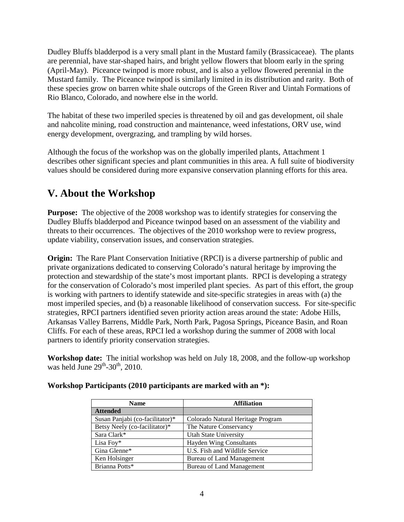Dudley Bluffs bladderpod is a very small plant in the Mustard family (Brassicaceae). The plants are perennial, have star-shaped hairs, and bright yellow flowers that bloom early in the spring (April-May). Piceance twinpod is more robust, and is also a yellow flowered perennial in the Mustard family. The Piceance twinpod is similarly limited in its distribution and rarity. Both of these species grow on barren white shale outcrops of the Green River and Uintah Formations of Rio Blanco, Colorado, and nowhere else in the world.

The habitat of these two imperiled species is threatened by oil and gas development, oil shale and nahcolite mining, road construction and maintenance, weed infestations, ORV use, wind energy development, overgrazing, and trampling by wild horses.

Although the focus of the workshop was on the globally imperiled plants, Attachment 1 describes other significant species and plant communities in this area. A full suite of biodiversity values should be considered during more expansive conservation planning efforts for this area.

## <span id="page-5-0"></span>**V. About the Workshop**

**Purpose:** The objective of the 2008 workshop was to identify strategies for conserving the Dudley Bluffs bladderpod and Piceance twinpod based on an assessment of the viability and threats to their occurrences. The objectives of the 2010 workshop were to review progress, update viability, conservation issues, and conservation strategies.

**Origin:** The Rare Plant Conservation Initiative (RPCI) is a diverse partnership of public and private organizations dedicated to conserving Colorado's natural heritage by improving the protection and stewardship of the state's most important plants. RPCI is developing a strategy for the conservation of Colorado's most imperiled plant species. As part of this effort, the group is working with partners to identify statewide and site-specific strategies in areas with (a) the most imperiled species, and (b) a reasonable likelihood of conservation success. For site-specific strategies, RPCI partners identified seven priority action areas around the state: Adobe Hills, Arkansas Valley Barrens, Middle Park, North Park, Pagosa Springs, Piceance Basin, and Roan Cliffs. For each of these areas, RPCI led a workshop during the summer of 2008 with local partners to identify priority conservation strategies.

**Workshop date:** The initial workshop was held on July 18, 2008, and the follow-up workshop was held June  $29<sup>th</sup> - 30<sup>th</sup>$ , 2010.

| <b>Name</b>                     | <b>Affiliation</b>                |  |  |  |  |  |
|---------------------------------|-----------------------------------|--|--|--|--|--|
| <b>Attended</b>                 |                                   |  |  |  |  |  |
| Susan Panjabi (co-facilitator)* | Colorado Natural Heritage Program |  |  |  |  |  |
| Betsy Neely (co-facilitator)*   | The Nature Conservancy            |  |  |  |  |  |
| Sara Clark*                     | Utah State University             |  |  |  |  |  |
| Lisa Foy $*$                    | <b>Hayden Wing Consultants</b>    |  |  |  |  |  |
| Gina Glenne*                    | U.S. Fish and Wildlife Service    |  |  |  |  |  |
| Ken Holsinger                   | Bureau of Land Management         |  |  |  |  |  |
| Brianna Potts*                  | <b>Bureau of Land Management</b>  |  |  |  |  |  |

#### **Workshop Participants (2010 participants are marked with an \*):**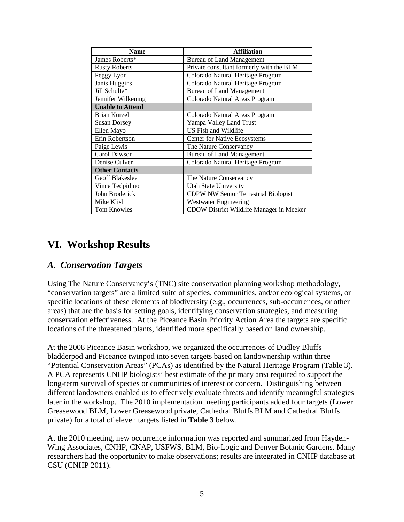| <b>Name</b>             | <b>Affiliation</b>                          |
|-------------------------|---------------------------------------------|
| James Roberts*          | <b>Bureau of Land Management</b>            |
| <b>Rusty Roberts</b>    | Private consultant formerly with the BLM    |
| Peggy Lyon              | Colorado Natural Heritage Program           |
| Janis Huggins           | Colorado Natural Heritage Program           |
| Jill Schulte*           | <b>Bureau of Land Management</b>            |
| Jennifer Wilkening      | Colorado Natural Areas Program              |
| <b>Unable to Attend</b> |                                             |
| <b>Brian Kurzel</b>     | Colorado Natural Areas Program              |
| <b>Susan Dorsey</b>     | Yampa Valley Land Trust                     |
| Ellen Mayo              | US Fish and Wildlife                        |
| Erin Robertson          | <b>Center for Native Ecosystems</b>         |
| Paige Lewis             | The Nature Conservancy                      |
| Carol Dawson            | <b>Bureau of Land Management</b>            |
| Denise Culver           | Colorado Natural Heritage Program           |
| <b>Other Contacts</b>   |                                             |
| Geoff Blakeslee         | The Nature Conservancy                      |
| Vince Tedpidino         | <b>Utah State University</b>                |
| John Broderick          | <b>CDPW NW Senior Terrestrial Biologist</b> |
| Mike Klish              | <b>Westwater Engineering</b>                |
| <b>Tom Knowles</b>      | CDOW District Wildlife Manager in Meeker    |

### <span id="page-6-0"></span>**VI. Workshop Results**

#### <span id="page-6-1"></span>*A. Conservation Targets*

Using The Nature Conservancy's (TNC) site conservation planning workshop methodology, "conservation targets" are a limited suite of species, communities, and/or ecological systems, or specific locations of these elements of biodiversity (e.g., occurrences, sub-occurrences, or other areas) that are the basis for setting goals, identifying conservation strategies, and measuring conservation effectiveness. At the Piceance Basin Priority Action Area the targets are specific locations of the threatened plants, identified more specifically based on land ownership.

At the 2008 Piceance Basin workshop, we organized the occurrences of Dudley Bluffs bladderpod and Piceance twinpod into seven targets based on landownership within three "Potential Conservation Areas" (PCAs) as identified by the Natural Heritage Program (Table 3). A PCA represents CNHP biologists' best estimate of the primary area required to support the long-term survival of species or communities of interest or concern. Distinguishing between different landowners enabled us to effectively evaluate threats and identify meaningful strategies later in the workshop. The 2010 implementation meeting participants added four targets (Lower Greasewood BLM, Lower Greasewood private, Cathedral Bluffs BLM and Cathedral Bluffs private) for a total of eleven targets listed in **Table 3** below.

At the 2010 meeting, new occurrence information was reported and summarized from Hayden-Wing Associates, CNHP, CNAP, USFWS, BLM, Bio-Logic and Denver Botanic Gardens. Many researchers had the opportunity to make observations; results are integrated in CNHP database at CSU (CNHP 2011).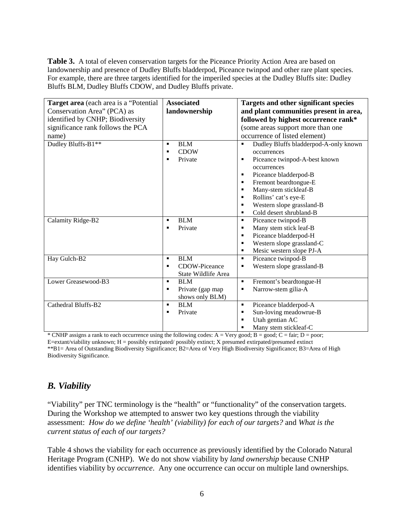**Table 3.** A total of eleven conservation targets for the Piceance Priority Action Area are based on landownership and presence of Dudley Bluffs bladderpod, Piceance twinpod and other rare plant species. For example, there are three targets identified for the imperiled species at the Dudley Bluffs site: Dudley Bluffs BLM, Dudley Bluffs CDOW, and Dudley Bluffs private.

| Target area (each area is a "Potential"<br>Conservation Area" (PCA) as<br>identified by CNHP; Biodiversity | <b>Associated</b><br>landownership                                       | Targets and other significant species<br>and plant communities present in area,<br>followed by highest occurrence rank*                                                                                                                       |
|------------------------------------------------------------------------------------------------------------|--------------------------------------------------------------------------|-----------------------------------------------------------------------------------------------------------------------------------------------------------------------------------------------------------------------------------------------|
| significance rank follows the PCA                                                                          |                                                                          | (some areas support more than one                                                                                                                                                                                                             |
| name)                                                                                                      |                                                                          | occurrence of listed element)                                                                                                                                                                                                                 |
| Dudley Bluffs-B1**                                                                                         | <b>BLM</b><br>$\blacksquare$<br><b>CDOW</b><br>п<br>Private<br>п         | Dudley Bluffs bladderpod-A-only known<br>occurrences<br>Piceance twinpod-A-best known<br>٠<br>occurrences<br>Piceance bladderpod-B<br>٠<br>Fremont beardtongue-E<br>٠<br>Many-stem stickleaf-B<br>$\blacksquare$<br>Rollins' cat's eye-E<br>٠ |
|                                                                                                            |                                                                          | Western slope grassland-B<br>$\blacksquare$<br>Cold desert shrubland-B<br>٠                                                                                                                                                                   |
| Calamity Ridge-B2                                                                                          | <b>BLM</b><br>$\blacksquare$<br>Private<br>п                             | Piceance twinpod-B<br>٠<br>Many stem stick leaf-B<br>٠<br>Piceance bladderpod-H<br>٠<br>Western slope grassland-C<br>٠<br>Mesic western slope PJ-A<br>$\blacksquare$                                                                          |
| Hay Gulch-B2                                                                                               | <b>BLM</b><br>П<br>CDOW-Piceance<br>п<br>State Wildlife Area             | Piceance twinpod-B<br>$\blacksquare$<br>Western slope grassland-B<br>٠                                                                                                                                                                        |
| Lower Greasewood-B3                                                                                        | <b>BLM</b><br>$\blacksquare$<br>Private (gap map<br>٠<br>shows only BLM) | $\blacksquare$<br>Fremont's beardtongue-H<br>Narrow-stem gilia-A<br>٠                                                                                                                                                                         |
| Cathedral Bluffs-B2                                                                                        | <b>BLM</b><br>$\blacksquare$<br>Private<br>п                             | Piceance bladderpod-A<br>٠<br>Sun-loving meadowrue-B<br>٠<br>Utah gentian AC<br>Many stem stickleaf-C<br>п                                                                                                                                    |

\* CNHP assigns a rank to each occurrence using the following codes:  $A = Very good$ ;  $B = good$ ;  $C = fair$ ;  $D = poor$ ; E=extant/viability unknown; H = possibly extirpated/ possibly extinct; X presumed extirpated/presumed extinct \*\*B1= Area of Outstanding Biodiversity Significance; B2=Area of Very High Biodiversity Significance; B3=Area of High Biodiversity Significance.

### <span id="page-7-0"></span>*B. Viability*

"Viability" per TNC terminology is the "health" or "functionality" of the conservation targets. During the Workshop we attempted to answer two key questions through the viability assessment: *How do we define 'health' (viability) for each of our targets?* and *What is the current status of each of our targets?*

Table 4 shows the viability for each occurrence as previously identified by the Colorado Natural Heritage Program (CNHP). We do not show viability by *land ownership* because CNHP identifies viability by *occurrence*. Any one occurrence can occur on multiple land ownerships.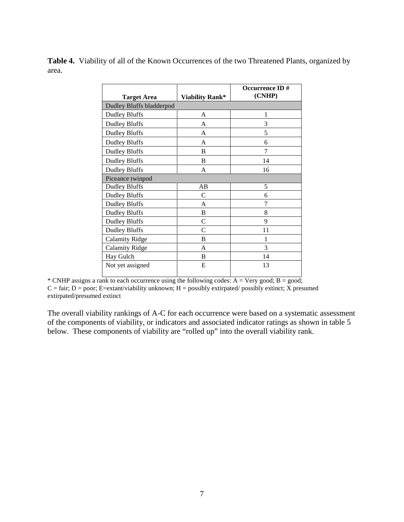Table 4. Viability of all of the Known Occurrences of the two Threatened Plants, organized by area.

|                                 |                 | <b>Occurrence ID#</b> |
|---------------------------------|-----------------|-----------------------|
| <b>Target Area</b>              | Viability Rank* | (CNHP)                |
| <b>Dudley Bluffs bladderpod</b> |                 |                       |
| <b>Dudley Bluffs</b>            | A               | 1                     |
| <b>Dudley Bluffs</b>            | A               | 3                     |
| <b>Dudley Bluffs</b>            | A               | 5                     |
| <b>Dudley Bluffs</b>            | A               | 6                     |
| <b>Dudley Bluffs</b>            | B               | 7                     |
| <b>Dudley Bluffs</b>            | B               | 14                    |
| <b>Dudley Bluffs</b>            | A               | 16                    |
| Piceance twinpod                |                 |                       |
| <b>Dudley Bluffs</b>            | AB              | 5                     |
| <b>Dudley Bluffs</b>            | C               | 6                     |
| <b>Dudley Bluffs</b>            | A               | 7                     |
| <b>Dudley Bluffs</b>            | B               | 8                     |
| <b>Dudley Bluffs</b>            | $\mathcal{C}$   | 9                     |
| <b>Dudley Bluffs</b>            | C               | 11                    |
| <b>Calamity Ridge</b>           | В               | 1                     |
| <b>Calamity Ridge</b>           | A               | 3                     |
| Hay Gulch                       | B               | 14                    |
| Not yet assigned                | E               | 13                    |

\* CNHP assigns a rank to each occurrence using the following codes:  $A = Very good; B = good;$  $C = \text{fair}$ ; D = poor; E=extant/viability unknown; H = possibly extirpated/ possibly extinct; X presumed

extirpated/presumed extinct

The overall viability rankings of A-C for each occurrence were based on a systematic assessment of the components of viability, or indicators and associated indicator ratings as shown in table 5 below. These components of viability are "rolled up" into the overall viability rank.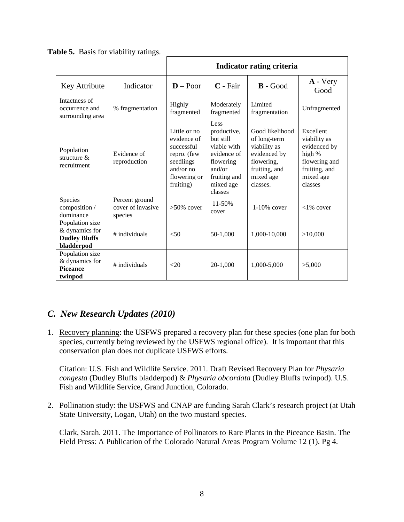|                                                                         |                                                | Indicator rating criteria                                                                                         |                                                                                                                               |                                                                                                                         |                                                                                                               |  |  |  |  |  |  |  |
|-------------------------------------------------------------------------|------------------------------------------------|-------------------------------------------------------------------------------------------------------------------|-------------------------------------------------------------------------------------------------------------------------------|-------------------------------------------------------------------------------------------------------------------------|---------------------------------------------------------------------------------------------------------------|--|--|--|--|--|--|--|
| Key Attribute                                                           | Indicator                                      | $D - Poor$<br>$C$ - Fair                                                                                          |                                                                                                                               | $\mathbf{B}$ - Good                                                                                                     | $\bf{A}$ - Very<br>Good                                                                                       |  |  |  |  |  |  |  |
| Intactness of<br>occurrence and<br>surrounding area                     | % fragmentation                                | Highly<br>fragmented                                                                                              | Moderately<br>fragmented                                                                                                      | Limited<br>fragmentation                                                                                                | Unfragmented                                                                                                  |  |  |  |  |  |  |  |
| Population<br>structure $\&$<br>recruitment                             | Evidence of<br>reproduction                    | Little or no<br>evidence of<br>successful<br>repro. (few<br>seedlings<br>and/or $no$<br>flowering or<br>fruiting) | Less<br>productive,<br>but still<br>viable with<br>evidence of<br>flowering<br>and/or<br>fruiting and<br>mixed age<br>classes | Good likelihood<br>of long-term<br>viability as<br>evidenced by<br>flowering,<br>fruiting, and<br>mixed age<br>classes. | Excellent<br>viability as<br>evidenced by<br>high %<br>flowering and<br>fruiting, and<br>mixed age<br>classes |  |  |  |  |  |  |  |
| Species<br>composition /<br>dominance                                   | Percent ground<br>cover of invasive<br>species | $>50\%$ cover                                                                                                     | $11 - 50%$<br>cover                                                                                                           | $1-10\%$ cover                                                                                                          | $<1\%$ cover                                                                                                  |  |  |  |  |  |  |  |
| Population size<br>& dynamics for<br><b>Dudley Bluffs</b><br>bladderpod | # individuals                                  |                                                                                                                   | 50-1,000                                                                                                                      | 1,000-10,000                                                                                                            | >10,000                                                                                                       |  |  |  |  |  |  |  |
| Population size<br>& dynamics for<br><b>Piceance</b><br>twinpod         | # individuals                                  | <20                                                                                                               | 20-1,000                                                                                                                      | 1,000-5,000                                                                                                             | >5,000                                                                                                        |  |  |  |  |  |  |  |

**Table 5.** Basis for viability ratings.

### <span id="page-9-0"></span>*C. New Research Updates (2010)*

1. Recovery planning: the USFWS prepared a recovery plan for these species (one plan for both species, currently being reviewed by the USFWS regional office). It is important that this conservation plan does not duplicate USFWS efforts.

Citation: U.S. Fish and Wildlife Service. 2011. Draft Revised Recovery Plan for *Physaria congesta* (Dudley Bluffs bladderpod) & *Physaria obcordata* (Dudley Bluffs twinpod). U.S. Fish and Wildlife Service, Grand Junction, Colorado.

2. Pollination study: the USFWS and CNAP are funding Sarah Clark's research project (at Utah State University, Logan, Utah) on the two mustard species.

Clark, Sarah. 2011. The Importance of Pollinators to Rare Plants in the Piceance Basin. The Field Press: A Publication of the Colorado Natural Areas Program Volume 12 (1). Pg 4.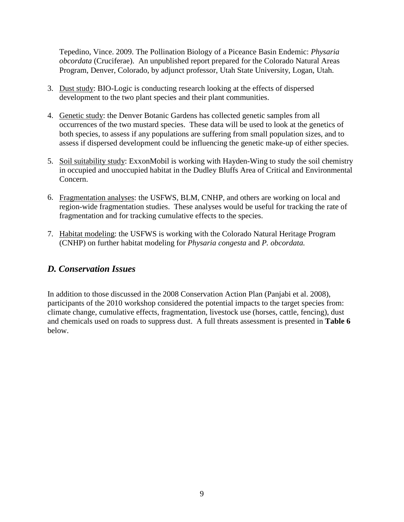Tepedino, Vince. 2009. The Pollination Biology of a Piceance Basin Endemic: *Physaria obcordata* (Cruciferae). An unpublished report prepared for the Colorado Natural Areas Program, Denver, Colorado, by adjunct professor, Utah State University, Logan, Utah.

- 3. Dust study: BIO-Logic is conducting research looking at the effects of dispersed development to the two plant species and their plant communities.
- 4. Genetic study: the Denver Botanic Gardens has collected genetic samples from all occurrences of the two mustard species. These data will be used to look at the genetics of both species, to assess if any populations are suffering from small population sizes, and to assess if dispersed development could be influencing the genetic make-up of either species.
- 5. Soil suitability study: ExxonMobil is working with Hayden-Wing to study the soil chemistry in occupied and unoccupied habitat in the Dudley Bluffs Area of Critical and Environmental Concern.
- 6. Fragmentation analyses: the USFWS, BLM, CNHP, and others are working on local and region-wide fragmentation studies. These analyses would be useful for tracking the rate of fragmentation and for tracking cumulative effects to the species.
- 7. Habitat modeling: the USFWS is working with the Colorado Natural Heritage Program (CNHP) on further habitat modeling for *Physaria congesta* and *P. obcordata.*

### <span id="page-10-0"></span>*D. Conservation Issues*

In addition to those discussed in the 2008 Conservation Action Plan (Panjabi et al. 2008), participants of the 2010 workshop considered the potential impacts to the target species from: climate change, cumulative effects, fragmentation, livestock use (horses, cattle, fencing), dust and chemicals used on roads to suppress dust. A full threats assessment is presented in **Table 6** below.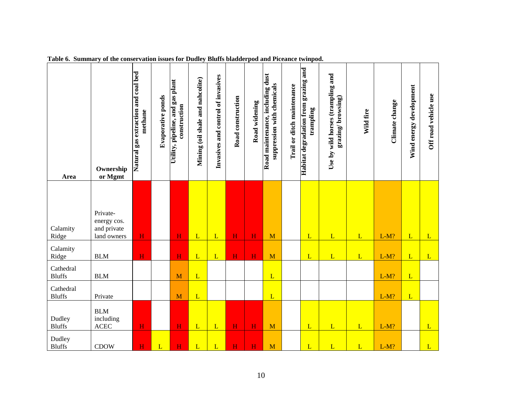| Area                       | Ownership<br>or Mgmt                                  | Natural gas extraction and coal bed<br>methane | Evaporative ponds | Utility, pipeline, and gas plant<br>construction | Mining (oil shale and nahcolite) | Invasives and control of invasives | Road construction | Road widening           | Road maintenance, including dust<br>suppression with chemicals | Trail or ditch maintenance | Habitat degradation from grazing and<br>trampling | Use by wild horses (trampling and<br>grazing/browsing) | Wild fire    | Climate change | Wind energy development | Off road vehicle use |
|----------------------------|-------------------------------------------------------|------------------------------------------------|-------------------|--------------------------------------------------|----------------------------------|------------------------------------|-------------------|-------------------------|----------------------------------------------------------------|----------------------------|---------------------------------------------------|--------------------------------------------------------|--------------|----------------|-------------------------|----------------------|
| Calamity<br>Ridge          | Private-<br>energy cos.<br>and private<br>land owners | H                                              |                   | H                                                | L                                | L                                  | H                 | $\overline{\mathbf{H}}$ | M                                                              |                            | L                                                 | L                                                      | $\mathbf{L}$ | $L-M?$         | L                       | L                    |
| Calamity<br>Ridge          | <b>BLM</b>                                            | $\overline{H}$                                 |                   | H                                                | L                                | L                                  | H                 | $\overline{H}$          | $\mathbf{M}$                                                   |                            | L                                                 | L                                                      | L            | $L-M?$         | L                       | L                    |
| Cathedral<br><b>Bluffs</b> | <b>BLM</b>                                            |                                                |                   | $\mathbf{M}$                                     | L                                |                                    |                   |                         | $\mathbf{L}$                                                   |                            |                                                   |                                                        |              | $L-M?$         | L                       |                      |
| Cathedral<br><b>Bluffs</b> | Private                                               |                                                |                   | M                                                | L                                |                                    |                   |                         | L                                                              |                            |                                                   |                                                        |              | $L-M?$         | L                       |                      |
| Dudley<br><b>Bluffs</b>    | <b>BLM</b><br>including<br><b>ACEC</b>                | H                                              |                   | $\mathbf H$                                      | L                                | L                                  | H                 | $\overline{H}$          | M                                                              |                            | $\overline{L}$                                    | $\overline{L}$                                         | $\mathbf{L}$ | $L-M?$         |                         | L                    |
| Dudley<br><b>Bluffs</b>    | <b>CDOW</b>                                           | H                                              | L                 | H                                                | L                                | L                                  | H                 | H                       | M                                                              |                            | L                                                 | L                                                      | L            | $L-M?$         |                         | L                    |

**Table 6. Summary of the conservation issues for Dudley Bluffs bladderpod and Piceance twinpod.**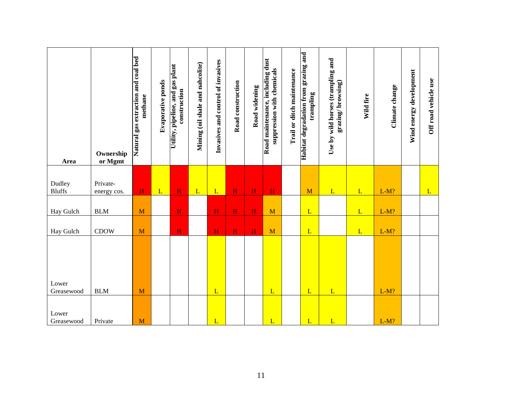| Area                | Ownership<br>or Mgmt | Natural gas extraction and coal bed<br>methane | Evaporative ponds | Utility, pipeline, and gas plant<br>construction | Mining (oil shale and nahcolite) | Invasives and control of invasives | Road construction | Road widening           | Road maintenance, including dust<br>suppression with chemicals | Trail or ditch maintenance | Habitat degradation from grazing and<br>trampling | Use by wild horses (trampling and<br>grazing/browsing) | Wild fire | Climate change | Wind energy development | Off road vehicle use |
|---------------------|----------------------|------------------------------------------------|-------------------|--------------------------------------------------|----------------------------------|------------------------------------|-------------------|-------------------------|----------------------------------------------------------------|----------------------------|---------------------------------------------------|--------------------------------------------------------|-----------|----------------|-------------------------|----------------------|
| Dudley              | Private-             |                                                |                   |                                                  |                                  |                                    |                   |                         |                                                                |                            |                                                   |                                                        |           |                |                         |                      |
| <b>Bluffs</b>       | energy cos.          | $\mathbf H$                                    | L                 | $\mathbf H$                                      | L                                | L                                  | $\mathbf H$       | $\overline{\mathbf{H}}$ | H                                                              |                            | M                                                 | L                                                      | L         | $L-M?$         |                         | L                    |
| Hay Gulch           | <b>BLM</b>           | M                                              |                   | $\mathbf H$                                      |                                  | H                                  | H                 | H                       | M                                                              |                            | L                                                 |                                                        | L         | $L-M?$         |                         |                      |
| Hay Gulch           | <b>CDOW</b>          | M                                              |                   | $\mathbf H$                                      |                                  | $\mathbf H$                        | $\mathbf H$       | $\mathbf H$             | M                                                              |                            | L                                                 |                                                        | L         | $L-M?$         |                         |                      |
| Lower<br>Greasewood | <b>BLM</b>           | M                                              |                   |                                                  |                                  | L                                  |                   |                         | L                                                              |                            | L                                                 | L                                                      |           | $L-M?$         |                         |                      |
| Lower<br>Greasewood | Private              | M                                              |                   |                                                  |                                  | $\mathbf L$                        |                   |                         | L                                                              |                            | $\mathbf L$                                       | $\mathbf L$                                            |           | $L-M?$         |                         |                      |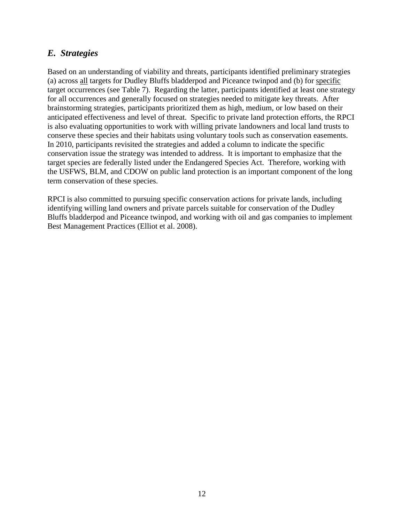### <span id="page-13-0"></span>*E. Strategies*

Based on an understanding of viability and threats, participants identified preliminary strategies (a) across all targets for Dudley Bluffs bladderpod and Piceance twinpod and (b) for specific target occurrences (see Table 7). Regarding the latter, participants identified at least one strategy for all occurrences and generally focused on strategies needed to mitigate key threats. After brainstorming strategies, participants prioritized them as high, medium, or low based on their anticipated effectiveness and level of threat. Specific to private land protection efforts, the RPCI is also evaluating opportunities to work with willing private landowners and local land trusts to conserve these species and their habitats using voluntary tools such as conservation easements. In 2010, participants revisited the strategies and added a column to indicate the specific conservation issue the strategy was intended to address. It is important to emphasize that the target species are federally listed under the Endangered Species Act. Therefore, working with the USFWS, BLM, and CDOW on public land protection is an important component of the long term conservation of these species.

RPCI is also committed to pursuing specific conservation actions for private lands, including identifying willing land owners and private parcels suitable for conservation of the Dudley Bluffs bladderpod and Piceance twinpod, and working with oil and gas companies to implement Best Management Practices (Elliot et al. 2008).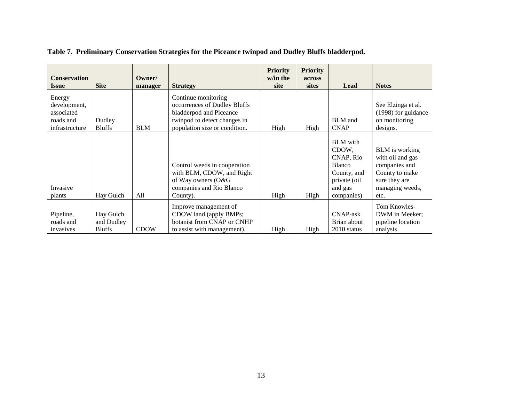| <b>Conservation</b><br><b>Issue</b>                                 | <b>Site</b>                              | Owner/<br>manager | <b>Strategy</b>                                                                                                                                 | <b>Priority</b><br>w/in the<br>site | <b>Priority</b><br>across<br><b>sites</b> | Lead                                                                                                           | <b>Notes</b>                                                                                                             |
|---------------------------------------------------------------------|------------------------------------------|-------------------|-------------------------------------------------------------------------------------------------------------------------------------------------|-------------------------------------|-------------------------------------------|----------------------------------------------------------------------------------------------------------------|--------------------------------------------------------------------------------------------------------------------------|
| Energy<br>development,<br>associated<br>roads and<br>infrastructure | Dudley<br><b>Bluffs</b>                  | <b>BLM</b>        | Continue monitoring<br>occurrences of Dudley Bluffs<br>bladderpod and Piceance<br>twinpod to detect changes in<br>population size or condition. | High                                | High                                      | <b>BLM</b> and<br><b>CNAP</b>                                                                                  | See Elzinga et al.<br>(1998) for guidance<br>on monitoring<br>designs.                                                   |
| Invasive<br>plants                                                  | Hay Gulch                                | All               | Control weeds in cooperation<br>with BLM, CDOW, and Right<br>of Way owners (O&G<br>companies and Rio Blanco<br>County).                         | High                                | High                                      | <b>BLM</b> with<br>CDOW,<br>CNAP, Rio<br><b>Blanco</b><br>County, and<br>private (oil<br>and gas<br>companies) | <b>BLM</b> is working<br>with oil and gas<br>companies and<br>County to make<br>sure they are<br>managing weeds,<br>etc. |
| Pipeline,<br>roads and<br>invasives                                 | Hay Gulch<br>and Dudley<br><b>Bluffs</b> | <b>CDOW</b>       | Improve management of<br>CDOW land (apply BMPs;<br>botanist from CNAP or CNHP<br>to assist with management).                                    | High                                | High                                      | <b>CNAP-ask</b><br>Brian about<br>2010 status                                                                  | Tom Knowles-<br>DWM in Meeker;<br>pipeline location<br>analysis                                                          |

**Table 7. Preliminary Conservation Strategies for the Piceance twinpod and Dudley Bluffs bladderpod.**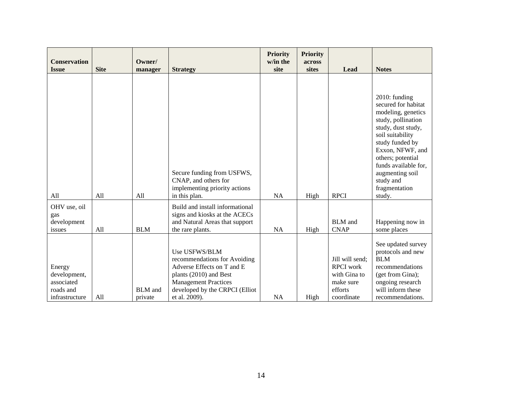| <b>Conservation</b><br><b>Issue</b>                                 | <b>Site</b> | Owner/<br>manager         | <b>Strategy</b>                                                                                                                                                                         | <b>Priority</b><br>w/in the<br>site | <b>Priority</b><br>across<br>sites | Lead                                                                                      | <b>Notes</b>                                                                                                                                                                                                                                                              |
|---------------------------------------------------------------------|-------------|---------------------------|-----------------------------------------------------------------------------------------------------------------------------------------------------------------------------------------|-------------------------------------|------------------------------------|-------------------------------------------------------------------------------------------|---------------------------------------------------------------------------------------------------------------------------------------------------------------------------------------------------------------------------------------------------------------------------|
| All                                                                 | A11         | A11                       | Secure funding from USFWS,<br>CNAP, and others for<br>implementing priority actions<br>in this plan.                                                                                    | NA                                  | High                               | <b>RPCI</b>                                                                               | 2010: funding<br>secured for habitat<br>modeling, genetics<br>study, pollination<br>study, dust study,<br>soil suitability<br>study funded by<br>Exxon, NFWF, and<br>others; potential<br>funds available for,<br>augmenting soil<br>study and<br>fragmentation<br>study. |
| OHV use, oil<br>gas<br>development<br>issues                        | All         | <b>BLM</b>                | Build and install informational<br>signs and kiosks at the ACECs<br>and Natural Areas that support<br>the rare plants.                                                                  | <b>NA</b>                           | High                               | <b>BLM</b> and<br><b>CNAP</b>                                                             | Happening now in<br>some places                                                                                                                                                                                                                                           |
| Energy<br>development,<br>associated<br>roads and<br>infrastructure | All         | <b>BLM</b> and<br>private | Use USFWS/BLM<br>recommendations for Avoiding<br>Adverse Effects on T and E<br>plants (2010) and Best<br><b>Management Practices</b><br>developed by the CRPCI (Elliot<br>et al. 2009). | <b>NA</b>                           | High                               | Jill will send;<br><b>RPCI</b> work<br>with Gina to<br>make sure<br>efforts<br>coordinate | See updated survey<br>protocols and new<br><b>BLM</b><br>recommendations<br>(get from Gina);<br>ongoing research<br>will inform these<br>recommendations.                                                                                                                 |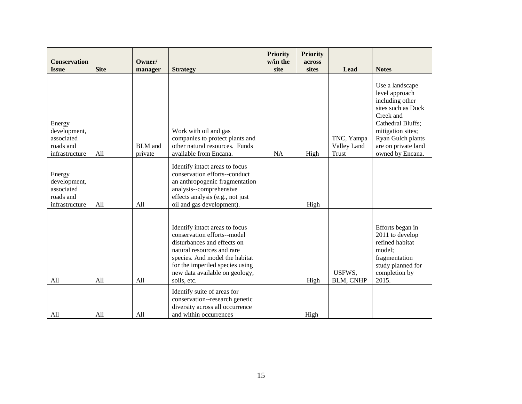| <b>Conservation</b><br><b>Issue</b>                                                           | <b>Site</b> | Owner/                               | <b>Strategy</b>                                                                                                                                                                                                                                  | <b>Priority</b><br>w/in the<br>site | Priority<br>across<br>sites | Lead                               | <b>Notes</b>                                                                                                                                                                                      |
|-----------------------------------------------------------------------------------------------|-------------|--------------------------------------|--------------------------------------------------------------------------------------------------------------------------------------------------------------------------------------------------------------------------------------------------|-------------------------------------|-----------------------------|------------------------------------|---------------------------------------------------------------------------------------------------------------------------------------------------------------------------------------------------|
| Energy<br>development,<br>associated<br>roads and<br>infrastructure<br>Energy<br>development, | All         | manager<br><b>BLM</b> and<br>private | Work with oil and gas<br>companies to protect plants and<br>other natural resources. Funds<br>available from Encana.<br>Identify intact areas to focus<br>conservation efforts--conduct<br>an anthropogenic fragmentation                        | <b>NA</b>                           | High                        | TNC, Yampa<br>Valley Land<br>Trust | Use a landscape<br>level approach<br>including other<br>sites such as Duck<br>Creek and<br>Cathedral Bluffs;<br>mitigation sites;<br>Ryan Gulch plants<br>are on private land<br>owned by Encana. |
| associated<br>roads and<br>infrastructure                                                     | All         | A11                                  | analysis--comprehensive<br>effects analysis (e.g., not just<br>oil and gas development).                                                                                                                                                         |                                     | High                        |                                    |                                                                                                                                                                                                   |
| All                                                                                           | All         | All                                  | Identify intact areas to focus<br>conservation efforts--model<br>disturbances and effects on<br>natural resources and rare<br>species. And model the habitat<br>for the imperiled species using<br>new data available on geology,<br>soils, etc. |                                     | High                        | USFWS,<br>BLM, CNHP                | Efforts began in<br>2011 to develop<br>refined habitat<br>model;<br>fragmentation<br>study planned for<br>completion by<br>2015.                                                                  |
| All                                                                                           | All         | All                                  | Identify suite of areas for<br>conservation--research genetic<br>diversity across all occurrence<br>and within occurrences                                                                                                                       |                                     | High                        |                                    |                                                                                                                                                                                                   |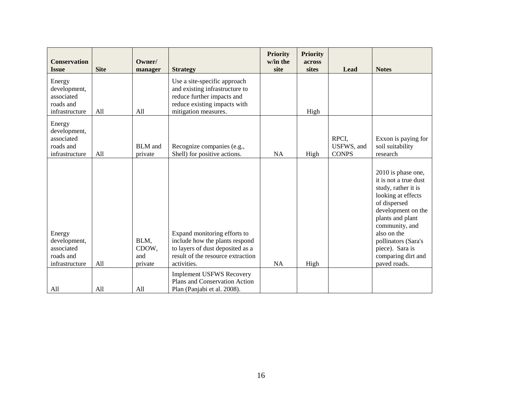| <b>Conservation</b><br><b>Issue</b>                                 | <b>Site</b> | Owner/<br>manager               | <b>Strategy</b>                                                                                                                                        | <b>Priority</b><br>w/in the<br>site | <b>Priority</b><br>across<br>sites | Lead                                | <b>Notes</b>                                                                                                                                                                                                                                                        |
|---------------------------------------------------------------------|-------------|---------------------------------|--------------------------------------------------------------------------------------------------------------------------------------------------------|-------------------------------------|------------------------------------|-------------------------------------|---------------------------------------------------------------------------------------------------------------------------------------------------------------------------------------------------------------------------------------------------------------------|
| Energy<br>development,<br>associated<br>roads and<br>infrastructure | All         | All                             | Use a site-specific approach<br>and existing infrastructure to<br>reduce further impacts and<br>reduce existing impacts with<br>mitigation measures.   |                                     | High                               |                                     |                                                                                                                                                                                                                                                                     |
| Energy<br>development,<br>associated<br>roads and<br>infrastructure | All         | <b>BLM</b> and<br>private       | Recognize companies (e.g.,<br>Shell) for positive actions.                                                                                             | NA                                  | High                               | RPCI,<br>USFWS, and<br><b>CONPS</b> | Exxon is paying for<br>soil suitability<br>research                                                                                                                                                                                                                 |
| Energy<br>development,<br>associated<br>roads and<br>infrastructure | All         | BLM,<br>CDOW,<br>and<br>private | Expand monitoring efforts to<br>include how the plants respond<br>to layers of dust deposited as a<br>result of the resource extraction<br>activities. | NA                                  | High                               |                                     | 2010 is phase one,<br>it is not a true dust<br>study, rather it is<br>looking at effects<br>of dispersed<br>development on the<br>plants and plant<br>community, and<br>also on the<br>pollinators (Sara's<br>piece). Sara is<br>comparing dirt and<br>paved roads. |
| All                                                                 | All         | All                             | <b>Implement USFWS Recovery</b><br>Plans and Conservation Action<br>Plan (Panjabi et al. 2008).                                                        |                                     |                                    |                                     |                                                                                                                                                                                                                                                                     |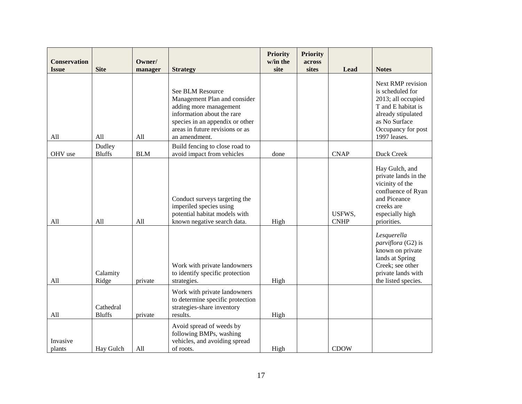| <b>Conservation</b><br><b>Issue</b> | <b>Site</b>                | Owner/<br>manager | <b>Strategy</b>                                                                                                                                                                                 | <b>Priority</b><br>w/in the<br>site | <b>Priority</b><br>across<br>sites | <b>Lead</b>           | <b>Notes</b>                                                                                                                                                   |
|-------------------------------------|----------------------------|-------------------|-------------------------------------------------------------------------------------------------------------------------------------------------------------------------------------------------|-------------------------------------|------------------------------------|-----------------------|----------------------------------------------------------------------------------------------------------------------------------------------------------------|
| All                                 | All                        | All               | See BLM Resource<br>Management Plan and consider<br>adding more management<br>information about the rare<br>species in an appendix or other<br>areas in future revisions or as<br>an amendment. |                                     |                                    |                       | Next RMP revision<br>is scheduled for<br>2013; all occupied<br>T and E habitat is<br>already stipulated<br>as No Surface<br>Occupancy for post<br>1997 leases. |
| OHV use                             | Dudley<br><b>Bluffs</b>    | <b>BLM</b>        | Build fencing to close road to<br>avoid impact from vehicles                                                                                                                                    | done                                |                                    | <b>CNAP</b>           | Duck Creek                                                                                                                                                     |
| All                                 | All                        | All               | Conduct surveys targeting the<br>imperiled species using<br>potential habitat models with<br>known negative search data.                                                                        | High                                |                                    | USFWS,<br><b>CNHP</b> | Hay Gulch, and<br>private lands in the<br>vicinity of the<br>confluence of Ryan<br>and Piceance<br>creeks are<br>especially high<br>priorities.                |
| All                                 | Calamity<br>Ridge          | private           | Work with private landowners<br>to identify specific protection<br>strategies.                                                                                                                  | High                                |                                    |                       | Lesquerella<br>parviflora (G2) is<br>known on private<br>lands at Spring<br>Creek; see other<br>private lands with<br>the listed species.                      |
| All                                 | Cathedral<br><b>Bluffs</b> | private           | Work with private landowners<br>to determine specific protection<br>strategies-share inventory<br>results.                                                                                      | High                                |                                    |                       |                                                                                                                                                                |
| Invasive<br>plants                  | Hay Gulch                  | All               | Avoid spread of weeds by<br>following BMPs, washing<br>vehicles, and avoiding spread<br>of roots.                                                                                               | High                                |                                    | <b>CDOW</b>           |                                                                                                                                                                |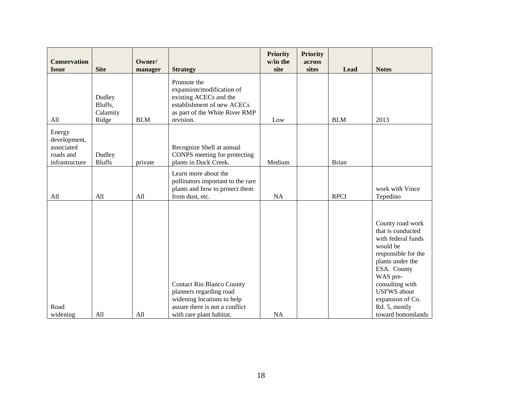| <b>Conservation</b><br><b>Issue</b>                                 | <b>Site</b>                            | Owner/<br>manager | <b>Strategy</b>                                                                                                                                         | <b>Priority</b><br>w/in the<br>site | <b>Priority</b><br>across<br>sites | Lead         | <b>Notes</b>                                                                                                                                                                                                                                      |
|---------------------------------------------------------------------|----------------------------------------|-------------------|---------------------------------------------------------------------------------------------------------------------------------------------------------|-------------------------------------|------------------------------------|--------------|---------------------------------------------------------------------------------------------------------------------------------------------------------------------------------------------------------------------------------------------------|
| All                                                                 | Dudley<br>Bluffs,<br>Calamity<br>Ridge | <b>BLM</b>        | Promote the<br>expansion/modification of<br>existing ACECs and the<br>establishment of new ACECs<br>as part of the White River RMP<br>revision.         | Low                                 |                                    | <b>BLM</b>   | 2013                                                                                                                                                                                                                                              |
| Energy<br>development,<br>associated<br>roads and<br>infrastructure | Dudley<br><b>Bluffs</b>                | private           | Recognize Shell at annual<br>CONPS meeting for protecting<br>plants in Duck Creek.                                                                      | Medium                              |                                    | <b>Brian</b> |                                                                                                                                                                                                                                                   |
| All                                                                 | All                                    | All               | Learn more about the<br>pollinators important to the rare<br>plants and how to protect them<br>from dust, etc.                                          | NA                                  |                                    | <b>RPCI</b>  | work with Vince<br>Tepedino                                                                                                                                                                                                                       |
| Road<br>widening                                                    | All                                    | All               | <b>Contact Rio Blanco County</b><br>planners regarding road<br>widening locations to help<br>assure there is not a conflict<br>with rare plant habitat. | <b>NA</b>                           |                                    |              | County road work<br>that is conducted<br>with federal funds<br>would be<br>responsible for the<br>plants under the<br>ESA. County<br>WAS pre-<br>consulting with<br><b>USFWS</b> about<br>expansion of Co.<br>Rd. 5, mostly<br>toward bottomlands |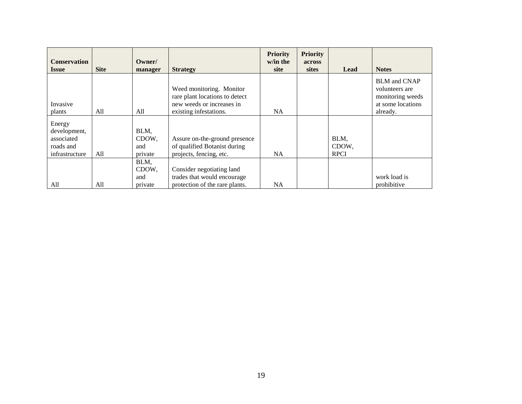| <b>Conservation</b><br><b>Issue</b>                                 | <b>Site</b> | Owner/<br>manager               | <b>Strategy</b>                                                                                                   | <b>Priority</b><br>w/in the<br>site | <b>Priority</b><br><b>across</b><br><b>sites</b> | Lead                         | <b>Notes</b>                                                                               |
|---------------------------------------------------------------------|-------------|---------------------------------|-------------------------------------------------------------------------------------------------------------------|-------------------------------------|--------------------------------------------------|------------------------------|--------------------------------------------------------------------------------------------|
| Invasive<br>plants                                                  | All         | All                             | Weed monitoring. Monitor<br>rare plant locations to detect<br>new weeds or increases in<br>existing infestations. | <b>NA</b>                           |                                                  |                              | <b>BLM</b> and CNAP<br>volunteers are<br>monitoring weeds<br>at some locations<br>already. |
| Energy<br>development,<br>associated<br>roads and<br>infrastructure | All         | BLM,<br>CDOW.<br>and<br>private | Assure on-the-ground presence<br>of qualified Botanist during<br>projects, fencing, etc.                          | NA.                                 |                                                  | BLM,<br>CDOW.<br><b>RPCI</b> |                                                                                            |
| All                                                                 | All         | BLM,<br>CDOW,<br>and<br>private | Consider negotiating land<br>trades that would encourage<br>protection of the rare plants.                        | <b>NA</b>                           |                                                  |                              | work load is<br>prohibitive                                                                |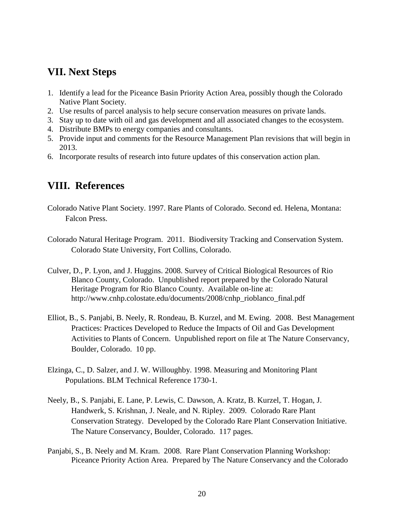### <span id="page-21-0"></span>**VII. Next Steps**

- 1. Identify a lead for the Piceance Basin Priority Action Area, possibly though the Colorado Native Plant Society.
- 2. Use results of parcel analysis to help secure conservation measures on private lands.
- 3. Stay up to date with oil and gas development and all associated changes to the ecosystem.
- 4. Distribute BMPs to energy companies and consultants.
- 5. Provide input and comments for the Resource Management Plan revisions that will begin in 2013.
- 6. Incorporate results of research into future updates of this conservation action plan.

### <span id="page-21-1"></span>**VIII. References**

- Colorado Native Plant Society. 1997. Rare Plants of Colorado. Second ed. Helena, Montana: Falcon Press.
- Colorado Natural Heritage Program. 2011. Biodiversity Tracking and Conservation System. Colorado State University, Fort Collins, Colorado.
- Culver, D., P. Lyon, and J. Huggins. 2008. Survey of Critical Biological Resources of Rio Blanco County, Colorado. Unpublished report prepared by the Colorado Natural Heritage Program for Rio Blanco County. Available on-line at: http://www.cnhp.colostate.edu/documents/2008/cnhp\_rioblanco\_final.pdf
- Elliot, B., S. Panjabi, B. Neely, R. Rondeau, B. Kurzel, and M. Ewing. 2008. Best Management Practices: Practices Developed to Reduce the Impacts of Oil and Gas Development Activities to Plants of Concern. Unpublished report on file at The Nature Conservancy, Boulder, Colorado. 10 pp.
- Elzinga, C., D. Salzer, and J. W. Willoughby. 1998. Measuring and Monitoring Plant Populations. BLM Technical Reference 1730-1.
- Neely, B., S. Panjabi, E. Lane, P. Lewis, C. Dawson, A. Kratz, B. Kurzel, T. Hogan, J. Handwerk, S. Krishnan, J. Neale, and N. Ripley. 2009. Colorado Rare Plant Conservation Strategy. Developed by the Colorado Rare Plant Conservation Initiative. The Nature Conservancy, Boulder, Colorado. 117 pages.
- Panjabi, S., B. Neely and M. Kram. 2008. Rare Plant Conservation Planning Workshop: Piceance Priority Action Area. Prepared by The Nature Conservancy and the Colorado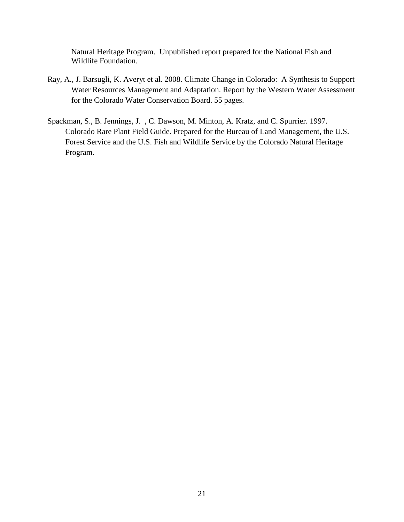Natural Heritage Program. Unpublished report prepared for the National Fish and Wildlife Foundation.

- Ray, A., J. Barsugli, K. Averyt et al. 2008. Climate Change in Colorado: A Synthesis to Support Water Resources Management and Adaptation. Report by the Western Water Assessment for the Colorado Water Conservation Board. 55 pages.
- Spackman, S., B. Jennings, J. , C. Dawson, M. Minton, A. Kratz, and C. Spurrier. 1997. Colorado Rare Plant Field Guide. Prepared for the Bureau of Land Management, the U.S. Forest Service and the U.S. Fish and Wildlife Service by the Colorado Natural Heritage Program.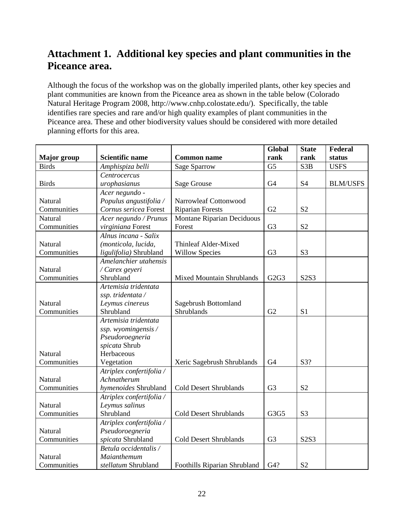## <span id="page-23-0"></span>**Attachment 1. Additional key species and plant communities in the Piceance area.**

Although the focus of the workshop was on the globally imperiled plants, other key species and plant communities are known from the Piceance area as shown in the table below (Colorado Natural Heritage Program 2008, http://www.cnhp.colostate.edu/). Specifically, the table identifies rare species and rare and/or high quality examples of plant communities in the Piceance area. These and other biodiversity values should be considered with more detailed planning efforts for this area.

|                    |                          |                                  | Global            | <b>State</b>     | Federal         |
|--------------------|--------------------------|----------------------------------|-------------------|------------------|-----------------|
| <b>Major</b> group | <b>Scientific name</b>   | <b>Common name</b>               | rank              | rank             | status          |
| <b>Birds</b>       | Amphispiza belli         | <b>Sage Sparrow</b>              | G <sub>5</sub>    | S <sub>3</sub> B | <b>USFS</b>     |
|                    | Centrocercus             |                                  |                   |                  |                 |
| <b>Birds</b>       | urophasianus             | Sage Grouse                      | G <sub>4</sub>    | <b>S4</b>        | <b>BLM/USFS</b> |
|                    | Acer negundo -           |                                  |                   |                  |                 |
| Natural            | Populus angustifolia /   | Narrowleaf Cottonwood            |                   |                  |                 |
| Communities        | Cornus sericea Forest    | <b>Riparian Forests</b>          | G2                | S <sub>2</sub>   |                 |
| Natural            | Acer negundo / Prunus    | Montane Riparian Deciduous       |                   |                  |                 |
| Communities        | virginiana Forest        | Forest                           | G <sub>3</sub>    | S <sub>2</sub>   |                 |
|                    | Alnus incana - Salix     |                                  |                   |                  |                 |
| Natural            | (monticola, lucida,      | Thinleaf Alder-Mixed             |                   |                  |                 |
| Communities        | ligulifolia) Shrubland   | <b>Willow Species</b>            | G <sub>3</sub>    | S <sub>3</sub>   |                 |
|                    | Amelanchier utahensis    |                                  |                   |                  |                 |
| Natural            | / Carex geyeri           |                                  |                   |                  |                 |
| Communities        | Shrubland                | <b>Mixed Mountain Shrublands</b> | G <sub>2G</sub> 3 | S2S3             |                 |
|                    | Artemisia tridentata     |                                  |                   |                  |                 |
|                    | ssp. tridentata /        |                                  |                   |                  |                 |
| Natural            | Leymus cinereus          | Sagebrush Bottomland             |                   |                  |                 |
| Communities        | Shrubland                | Shrublands                       | G2                | S <sub>1</sub>   |                 |
|                    | Artemisia tridentata     |                                  |                   |                  |                 |
|                    | ssp. wyomingensis /      |                                  |                   |                  |                 |
|                    | Pseudoroegneria          |                                  |                   |                  |                 |
|                    | spicata Shrub            |                                  |                   |                  |                 |
| Natural            | Herbaceous               |                                  |                   |                  |                 |
| Communities        | Vegetation               | Xeric Sagebrush Shrublands       | G <sub>4</sub>    | S3?              |                 |
|                    | Atriplex confertifolia / |                                  |                   |                  |                 |
| Natural            | Achnatherum              |                                  |                   |                  |                 |
| Communities        | hymenoides Shrubland     | <b>Cold Desert Shrublands</b>    | G <sub>3</sub>    | S <sub>2</sub>   |                 |
|                    | Atriplex confertifolia / |                                  |                   |                  |                 |
| Natural            | Leymus salinus           |                                  |                   |                  |                 |
| Communities        | Shrubland                | <b>Cold Desert Shrublands</b>    | G3G5              | S <sub>3</sub>   |                 |
|                    | Atriplex confertifolia / |                                  |                   |                  |                 |
| Natural            | Pseudoroegneria          |                                  |                   |                  |                 |
| Communities        | spicata Shrubland        | <b>Cold Desert Shrublands</b>    | G <sub>3</sub>    | S2S3             |                 |
|                    | Betula occidentalis /    |                                  |                   |                  |                 |
| Natural            | Maianthemum              |                                  |                   |                  |                 |
| Communities        | stellatum Shrubland      | Foothills Riparian Shrubland     | G4?               | S <sub>2</sub>   |                 |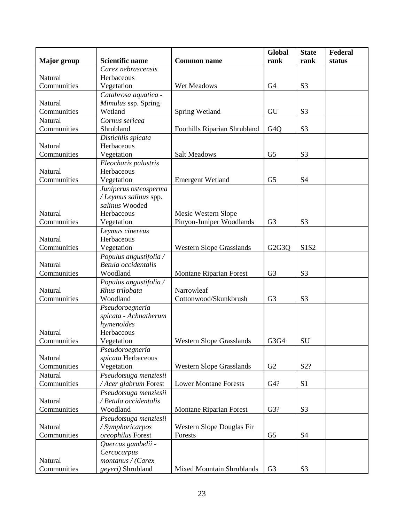|                    |                          |                                  | Global                          | <b>State</b>   | Federal |
|--------------------|--------------------------|----------------------------------|---------------------------------|----------------|---------|
| <b>Major</b> group | <b>Scientific name</b>   | <b>Common name</b>               | rank                            | rank           | status  |
|                    | Carex nebrascensis       |                                  |                                 |                |         |
| Natural            | Herbaceous               |                                  |                                 |                |         |
| Communities        | Vegetation               | Wet Meadows                      | G <sub>4</sub>                  | S <sub>3</sub> |         |
|                    | Catabrosa aquatica -     |                                  |                                 |                |         |
| Natural            | Mimulus ssp. Spring      |                                  |                                 |                |         |
| Communities        | Wetland                  | Spring Wetland                   | GU                              | S <sub>3</sub> |         |
| Natural            | Cornus sericea           |                                  |                                 |                |         |
| Communities        | Shrubland                | Foothills Riparian Shrubland     | G <sub>4</sub> Q                | S <sub>3</sub> |         |
|                    | Distichlis spicata       |                                  |                                 |                |         |
| Natural            | Herbaceous               |                                  |                                 |                |         |
| Communities        | Vegetation               | <b>Salt Meadows</b>              | G <sub>5</sub>                  | S <sub>3</sub> |         |
|                    | Eleocharis palustris     |                                  |                                 |                |         |
| Natural            | Herbaceous               |                                  |                                 |                |         |
| Communities        | Vegetation               | <b>Emergent Wetland</b>          | G <sub>5</sub>                  | <b>S4</b>      |         |
|                    | Juniperus osteosperma    |                                  |                                 |                |         |
|                    | / Leymus salinus spp.    |                                  |                                 |                |         |
|                    | salinus Wooded           |                                  |                                 |                |         |
| Natural            | Herbaceous               | Mesic Western Slope              |                                 |                |         |
| Communities        | Vegetation               | Pinyon-Juniper Woodlands         | G <sub>3</sub>                  | S <sub>3</sub> |         |
|                    | Leymus cinereus          |                                  |                                 |                |         |
| Natural            | Herbaceous               |                                  |                                 |                |         |
| Communities        | Vegetation               | <b>Western Slope Grasslands</b>  | G <sub>2</sub> G <sub>3</sub> Q | S1S2           |         |
|                    | Populus angustifolia /   |                                  |                                 |                |         |
| Natural            | Betula occidentalis      |                                  |                                 |                |         |
| Communities        | Woodland                 | <b>Montane Riparian Forest</b>   | G <sub>3</sub>                  | S <sub>3</sub> |         |
|                    | Populus angustifolia /   |                                  |                                 |                |         |
| Natural            | Rhus trilobata           | Narrowleaf                       |                                 |                |         |
| Communities        | Woodland                 | Cottonwood/Skunkbrush            | G <sub>3</sub>                  | S <sub>3</sub> |         |
|                    | Pseudoroegneria          |                                  |                                 |                |         |
|                    | spicata - Achnatherum    |                                  |                                 |                |         |
| Natural            | hymenoides<br>Herbaceous |                                  |                                 |                |         |
| Communities        | Vegetation               | <b>Western Slope Grasslands</b>  | G3G4                            | SU             |         |
|                    | Pseudoroegneria          |                                  |                                 |                |         |
| Natural            | spicata Herbaceous       |                                  |                                 |                |         |
| Communities        | Vegetation               | <b>Western Slope Grasslands</b>  | G2                              | S2?            |         |
| Natural            | Pseudotsuga menziesii    |                                  |                                 |                |         |
| Communities        | / Acer glabrum Forest    | <b>Lower Montane Forests</b>     | G4?                             | S1             |         |
|                    | Pseudotsuga menziesii    |                                  |                                 |                |         |
| Natural            | / Betula occidentalis    |                                  |                                 |                |         |
| Communities        | Woodland                 | Montane Riparian Forest          | G3?                             | S <sub>3</sub> |         |
|                    | Pseudotsuga menziesii    |                                  |                                 |                |         |
| Natural            | / Symphoricarpos         | Western Slope Douglas Fir        |                                 |                |         |
| Communities        | oreophilus Forest        | Forests                          | G <sub>5</sub>                  | <b>S4</b>      |         |
|                    | Quercus gambelii -       |                                  |                                 |                |         |
|                    | Cercocarpus              |                                  |                                 |                |         |
| Natural            | montanus / (Carex        |                                  |                                 |                |         |
| Communities        | geyeri) Shrubland        | <b>Mixed Mountain Shrublands</b> | G <sub>3</sub>                  | S <sub>3</sub> |         |